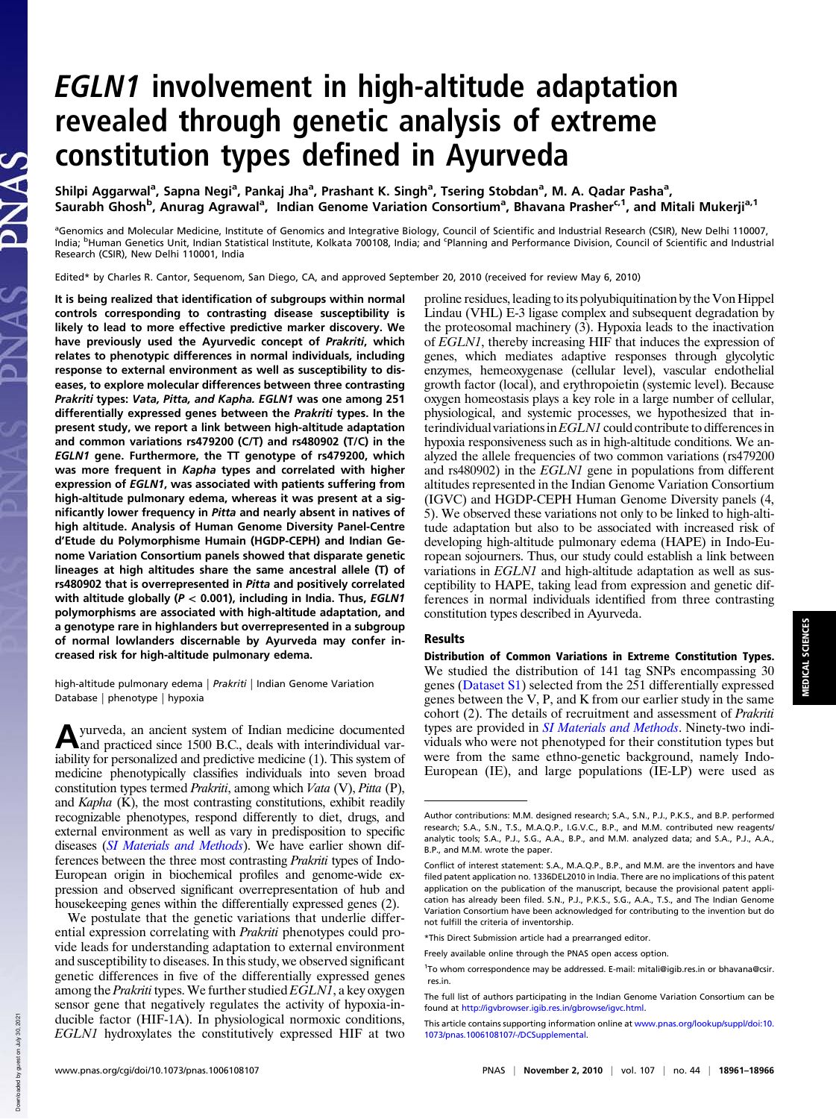# EGLN1 involvement in high-altitude adaptation revealed through genetic analysis of extreme constitution types defined in Ayurveda

Shilpi Aggarwal<sup>a</sup>, Sapna Negi<sup>a</sup>, Pankaj Jha<sup>a</sup>, Prashant K. Singh<sup>a</sup>, Tsering Stobdan<sup>a</sup>, M. A. Qadar Pasha<sup>a</sup>, Saurabh Ghosh<sup>b</sup>, Anurag Agrawal<sup>a</sup>, Indian Genome Variation Consortium<sup>a</sup>, Bhavana Prasher<sup>c,1</sup>, and Mitali Mukerji<sup>a,1</sup>

<sup>a</sup>Genomics and Molecular Medicine, Institute of Genomics and Integrative Biology, Council of Scientific and Industrial Research (CSIR), New Delhi 110007, India; <sup>b</sup>Human Genetics Unit, Indian Statistical Institute, Kolkata 700108, India; and <sup>c</sup>Planning and Performance Division, Council of Scientific and Industrial Research (CSIR), New Delhi 110001, India

Edited\* by Charles R. Cantor, Sequenom, San Diego, CA, and approved September 20, 2010 (received for review May 6, 2010)

It is being realized that identification of subgroups within normal controls corresponding to contrasting disease susceptibility is likely to lead to more effective predictive marker discovery. We have previously used the Ayurvedic concept of Prakriti, which relates to phenotypic differences in normal individuals, including response to external environment as well as susceptibility to diseases, to explore molecular differences between three contrasting Prakriti types: Vata, Pitta, and Kapha. EGLN1 was one among 251 differentially expressed genes between the Prakriti types. In the present study, we report a link between high-altitude adaptation and common variations rs479200 (C/T) and rs480902 (T/C) in the EGLN1 gene. Furthermore, the TT genotype of rs479200, which was more frequent in Kapha types and correlated with higher expression of EGLN1, was associated with patients suffering from high-altitude pulmonary edema, whereas it was present at a significantly lower frequency in Pitta and nearly absent in natives of high altitude. Analysis of Human Genome Diversity Panel-Centre d'Etude du Polymorphisme Humain (HGDP-CEPH) and Indian Genome Variation Consortium panels showed that disparate genetic lineages at high altitudes share the same ancestral allele (T) of rs480902 that is overrepresented in Pitta and positively correlated with altitude globally ( $P < 0.001$ ), including in India. Thus, EGLN1 polymorphisms are associated with high-altitude adaptation, and a genotype rare in highlanders but overrepresented in a subgroup of normal lowlanders discernable by Ayurveda may confer increased risk for high-altitude pulmonary edema.

high-altitude pulmonary edema | Prakriti | Indian Genome Variation Database | phenotype | hypoxia

A yurveda, an ancient system of Indian medicine documented<br>and practiced since 1500 B.C., deals with interindividual varyurveda, an ancient system of Indian medicine documented iability for personalized and predictive medicine (1). This system of medicine phenotypically classifies individuals into seven broad constitution types termed Prakriti, among which Vata (V), Pitta (P), and  $Kapha$  (K), the most contrasting constitutions, exhibit readily recognizable phenotypes, respond differently to diet, drugs, and external environment as well as vary in predisposition to specific diseases (SI Materials and Methods). We have earlier shown differences between the three most contrasting Prakriti types of Indo-European origin in biochemical profiles and genome-wide expression and observed significant overrepresentation of hub and housekeeping genes within the differentially expressed genes (2).

We postulate that the genetic variations that underlie differential expression correlating with Prakriti phenotypes could provide leads for understanding adaptation to external environment and susceptibility to diseases. In this study, we observed significant genetic differences in five of the differentially expressed genes among the *Prakriti* types. We further studied *EGLN1*, a key oxygen sensor gene that negatively regulates the activity of hypoxia-inducible factor (HIF-1A). In physiological normoxic conditions, EGLN1 hydroxylates the constitutively expressed HIF at two proline residues, leading to its polyubiquitination by the Von Hippel Lindau (VHL) E-3 ligase complex and subsequent degradation by the proteosomal machinery (3). Hypoxia leads to the inactivation of EGLN1, thereby increasing HIF that induces the expression of genes, which mediates adaptive responses through glycolytic enzymes, hemeoxygenase (cellular level), vascular endothelial growth factor (local), and erythropoietin (systemic level). Because oxygen homeostasis plays a key role in a large number of cellular, physiological, and systemic processes, we hypothesized that interindividual variations inEGLN1 could contribute to differences in hypoxia responsiveness such as in high-altitude conditions. We analyzed the allele frequencies of two common variations (rs479200 and rs480902) in the EGLN1 gene in populations from different altitudes represented in the Indian Genome Variation Consortium (IGVC) and HGDP-CEPH Human Genome Diversity panels (4, 5). We observed these variations not only to be linked to high-altitude adaptation but also to be associated with increased risk of developing high-altitude pulmonary edema (HAPE) in Indo-European sojourners. Thus, our study could establish a link between variations in EGLN1 and high-altitude adaptation as well as susceptibility to HAPE, taking lead from expression and genetic differences in normal individuals identified from three contrasting constitution types described in Ayurveda.

## Results

Distribution of Common Variations in Extreme Constitution Types. We studied the distribution of 141 tag SNPs encompassing 30 genes (Dataset S1) selected from the 251 differentially expressed genes between the V, P, and K from our earlier study in the same cohort (2). The details of recruitment and assessment of Prakriti types are provided in SI Materials and Methods. Ninety-two individuals who were not phenotyped for their constitution types but were from the same ethno-genetic background, namely Indo-European (IE), and large populations (IE-LP) were used as

Downloaded by guest on July 30, 2021

Down

loaded by guest on July 30, 2021

PNAS

Author contributions: M.M. designed research; S.A., S.N., P.J., P.K.S., and B.P. performed research; S.A., S.N., T.S., M.A.Q.P., I.G.V.C., B.P., and M.M. contributed new reagents/ analytic tools; S.A., P.J., S.G., A.A., B.P., and M.M. analyzed data; and S.A., P.J., A.A., B.P., and M.M. wrote the paper.

Conflict of interest statement: S.A., M.A.Q.P., B.P., and M.M. are the inventors and have filed patent application no. 1336DEL2010 in India. There are no implications of this patent application on the publication of the manuscript, because the provisional patent application has already been filed. S.N., P.J., P.K.S., S.G., A.A., T.S., and The Indian Genome Variation Consortium have been acknowledged for contributing to the invention but do not fulfill the criteria of inventorship.

<sup>\*</sup>This Direct Submission article had a prearranged editor.

Freely available online through the PNAS open access option.

<sup>&</sup>lt;sup>1</sup>To whom correspondence may be addressed. E-mail: mitali@igib.res.in or bhavana@csir. res.in.

The full list of authors participating in the Indian Genome Variation Consortium can be found at http://igvbrowser.igib.res.in/gbrowse/igvc.html.

This article contains supporting information online at www.pnas.org/lookup/suppl/doi:10. 1073/pnas.1006108107/-/DCSupplemental.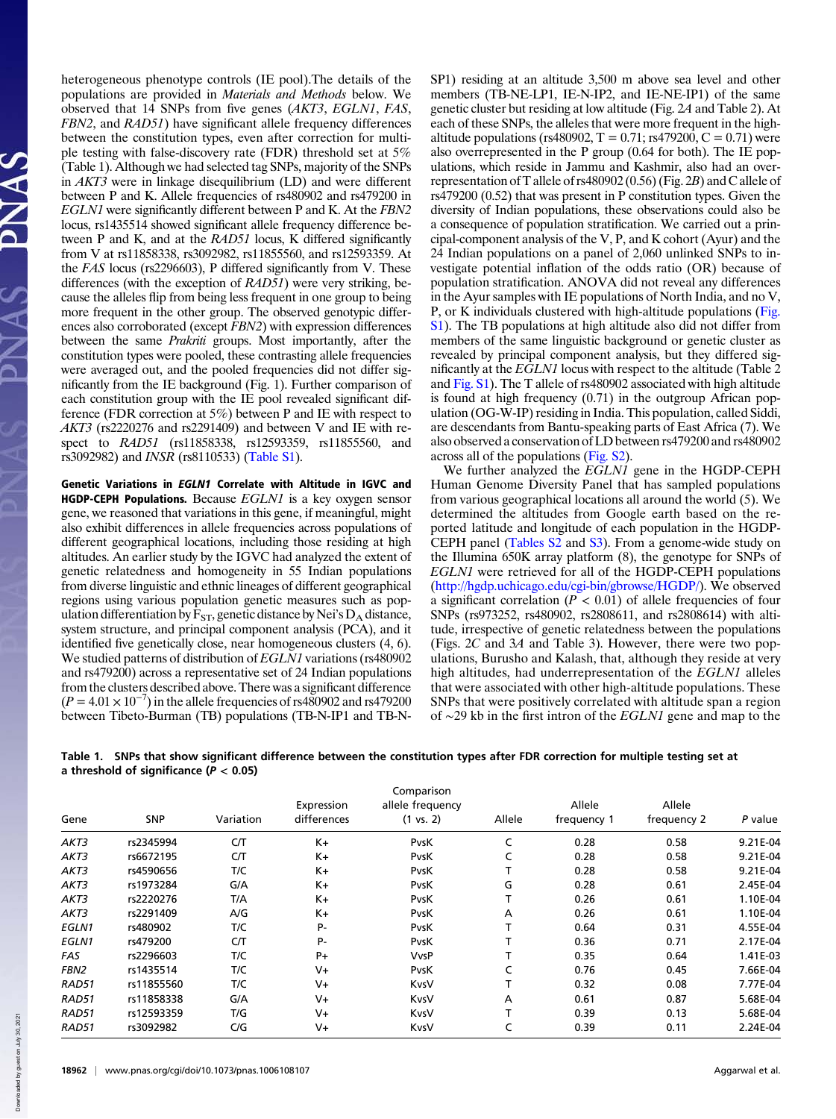heterogeneous phenotype controls (IE pool).The details of the populations are provided in Materials and Methods below. We observed that 14 SNPs from five genes (AKT3, EGLN1, FAS, FBN2, and RAD51) have significant allele frequency differences between the constitution types, even after correction for multiple testing with false-discovery rate (FDR) threshold set at 5% (Table 1). Although we had selected tag SNPs, majority of the SNPs in AKT3 were in linkage disequilibrium (LD) and were different between P and K. Allele frequencies of rs480902 and rs479200 in EGLN1 were significantly different between P and K. At the FBN2 locus, rs1435514 showed significant allele frequency difference between P and K, and at the RAD51 locus, K differed significantly from V at rs11858338, rs3092982, rs11855560, and rs12593359. At the FAS locus (rs2296603), P differed significantly from V. These differences (with the exception of RAD51) were very striking, because the alleles flip from being less frequent in one group to being more frequent in the other group. The observed genotypic differences also corroborated (except FBN2) with expression differences between the same *Prakriti* groups. Most importantly, after the constitution types were pooled, these contrasting allele frequencies were averaged out, and the pooled frequencies did not differ significantly from the IE background (Fig. 1). Further comparison of each constitution group with the IE pool revealed significant difference (FDR correction at 5%) between P and IE with respect to AKT3 (rs2220276 and rs2291409) and between V and IE with respect to RAD51 (rs11858338, rs12593359, rs11855560, and rs3092982) and INSR (rs8110533) (Table S1).

Genetic Variations in EGLN1 Correlate with Altitude in IGVC and **HGDP-CEPH Populations.** Because  $EGLN1$  is a key oxygen sensor gene, we reasoned that variations in this gene, if meaningful, might also exhibit differences in allele frequencies across populations of different geographical locations, including those residing at high altitudes. An earlier study by the IGVC had analyzed the extent of genetic relatedness and homogeneity in 55 Indian populations from diverse linguistic and ethnic lineages of different geographical regions using various population genetic measures such as population differentiation by  $F_{ST}$ , genetic distance by Nei's  $D_A$  distance, system structure, and principal component analysis (PCA), and it identified five genetically close, near homogeneous clusters (4, 6). We studied patterns of distribution of EGLN1 variations (rs480902 and rs479200) across a representative set of 24 Indian populations from the clusters described above. There was a significant difference  $(P = 4.01 \times 10^{-7})$  in the allele frequencies of rs480902 and rs479200 between Tibeto-Burman (TB) populations (TB-N-IP1 and TB-N-

SP1) residing at an altitude 3,500 m above sea level and other members (TB-NE-LP1, IE-N-IP2, and IE-NE-IP1) of the same genetic cluster but residing at low altitude (Fig. 2A and Table 2). At each of these SNPs, the alleles that were more frequent in the highaltitude populations (rs480902,  $T = 0.71$ ; rs479200,  $C = 0.71$ ) were also overrepresented in the P group (0.64 for both). The IE populations, which reside in Jammu and Kashmir, also had an overrepresentation of T allele of rs480902 (0.56) (Fig. 2B) and C allele of rs479200 (0.52) that was present in P constitution types. Given the diversity of Indian populations, these observations could also be a consequence of population stratification. We carried out a principal-component analysis of the V, P, and K cohort (Ayur) and the 24 Indian populations on a panel of 2,060 unlinked SNPs to investigate potential inflation of the odds ratio (OR) because of population stratification. ANOVA did not reveal any differences in the Ayur samples with IE populations of North India, and no V, P, or K individuals clustered with high-altitude populations (Fig. S1). The TB populations at high altitude also did not differ from members of the same linguistic background or genetic cluster as revealed by principal component analysis, but they differed significantly at the EGLN1 locus with respect to the altitude (Table 2 and Fig. S1). The T allele of rs480902 associated with high altitude is found at high frequency (0.71) in the outgroup African population (OG-W-IP) residing in India. This population, called Siddi, are descendants from Bantu-speaking parts of East Africa (7). We also observed a conservation of LD between rs479200 and rs480902 across all of the populations (Fig. S2).

We further analyzed the EGLN1 gene in the HGDP-CEPH Human Genome Diversity Panel that has sampled populations from various geographical locations all around the world (5). We determined the altitudes from Google earth based on the reported latitude and longitude of each population in the HGDP-CEPH panel (Tables S2 and S3). From a genome-wide study on the Illumina 650K array platform (8), the genotype for SNPs of EGLN1 were retrieved for all of the HGDP-CEPH populations (http://hgdp.uchicago.edu/cgi-bin/gbrowse/HGDP/). We observed a significant correlation ( $P < 0.01$ ) of allele frequencies of four SNPs (rs973252, rs480902, rs2808611, and rs2808614) with altitude, irrespective of genetic relatedness between the populations (Figs. 2C and 3A and Table 3). However, there were two populations, Burusho and Kalash, that, although they reside at very high altitudes, had underrepresentation of the EGLN1 alleles that were associated with other high-altitude populations. These SNPs that were positively correlated with altitude span a region of ∼29 kb in the first intron of the EGLN1 gene and map to the

| Table 1. SNPs that show significant difference between the constitution types after FDR correction for multiple testing set at |
|--------------------------------------------------------------------------------------------------------------------------------|
| a threshold of significance ( $P < 0.05$ )                                                                                     |

| Comparison   |            |           |             |                      |        |             |             |          |
|--------------|------------|-----------|-------------|----------------------|--------|-------------|-------------|----------|
|              |            |           | Expression  | allele frequency     |        | Allele      | Allele      |          |
| Gene         | <b>SNP</b> | Variation | differences | $(1 \text{ vs. } 2)$ | Allele | frequency 1 | frequency 2 | P value  |
| AKT3         | rs2345994  | CT        | $K +$       | <b>PvsK</b>          | C      | 0.28        | 0.58        | 9.21E-04 |
| AKT3         | rs6672195  | CЛ        | $K +$       | PvsK                 | C      | 0.28        | 0.58        | 9.21E-04 |
| AKT3         | rs4590656  | T/C       | $K +$       | <b>PvsK</b>          | т      | 0.28        | 0.58        | 9.21E-04 |
| AKT3         | rs1973284  | G/A       | $K +$       | <b>PvsK</b>          | G      | 0.28        | 0.61        | 2.45E-04 |
| AKT3         | rs2220276  | T/A       | $K +$       | <b>PvsK</b>          | т      | 0.26        | 0.61        | 1.10E-04 |
| AKT3         | rs2291409  | A/G       | $K +$       | <b>PvsK</b>          | А      | 0.26        | 0.61        | 1.10E-04 |
| <b>EGLN1</b> | rs480902   | T/C       | P-          | <b>PvsK</b>          | т      | 0.64        | 0.31        | 4.55E-04 |
| EGLN1        | rs479200   | CЛ        | P-          | <b>PvsK</b>          | т      | 0.36        | 0.71        | 2.17E-04 |
| FAS          | rs2296603  | T/C       | $P+$        | VvsP                 | т      | 0.35        | 0.64        | 1.41E-03 |
| FBN2         | rs1435514  | T/C       | $V_{+}$     | <b>PvsK</b>          | C      | 0.76        | 0.45        | 7.66E-04 |
| RAD51        | rs11855560 | T/C       | $V +$       | KvsV                 | т      | 0.32        | 0.08        | 7.77E-04 |
| RAD51        | rs11858338 | G/A       | $V +$       | KvsV                 | А      | 0.61        | 0.87        | 5.68E-04 |
| RAD51        | rs12593359 | T/G       | $V +$       | KvsV                 | т      | 0.39        | 0.13        | 5.68E-04 |
| RAD51        | rs3092982  | C/G       | $V +$       | KvsV                 | C      | 0.39        | 0.11        | 2.24E-04 |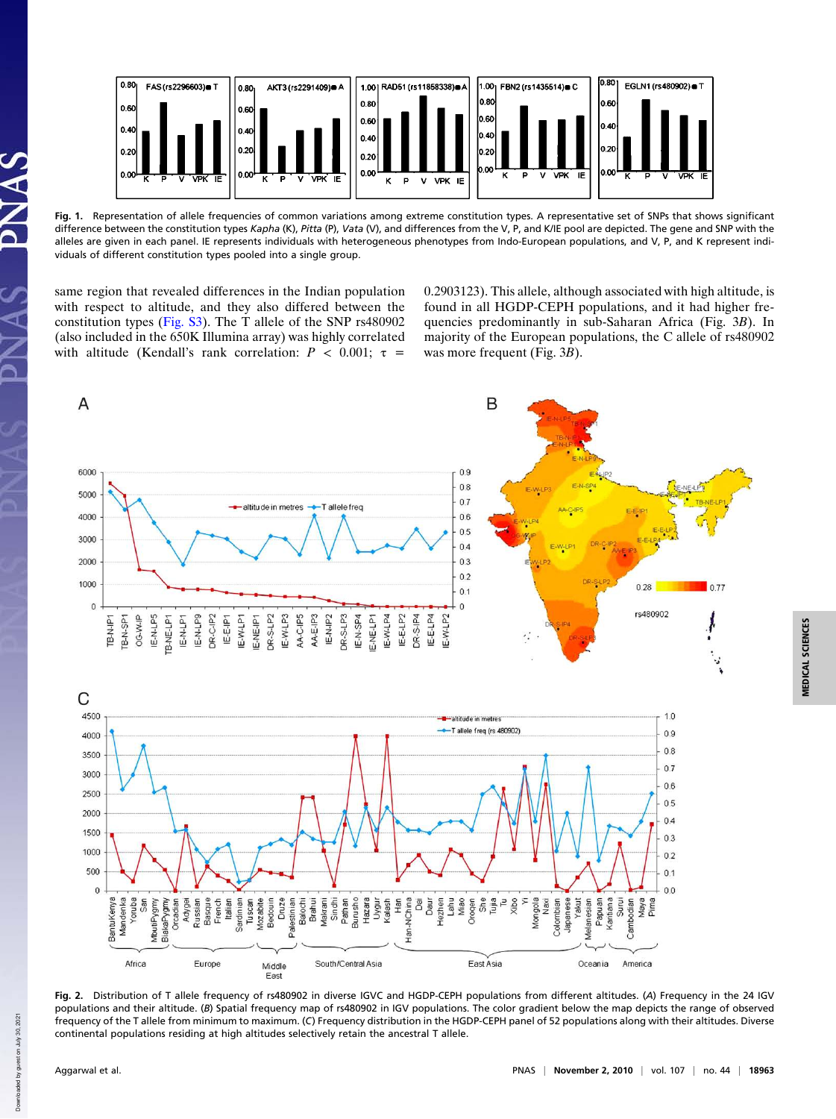

Fig. 1. Representation of allele frequencies of common variations among extreme constitution types. A representative set of SNPs that shows significant difference between the constitution types Kapha (K), Pitta (P), Vata (V), and differences from the V, P, and K/IE pool are depicted. The gene and SNP with the alleles are given in each panel. IE represents individuals with heterogeneous phenotypes from Indo-European populations, and V, P, and K represent individuals of different constitution types pooled into a single group.

same region that revealed differences in the Indian population with respect to altitude, and they also differed between the constitution types (Fig. S3). The T allele of the SNP rs480902 (also included in the 650K Illumina array) was highly correlated with altitude (Kendall's rank correlation:  $P < 0.001$ ;  $\tau =$ 

0.2903123). This allele, although associated with high altitude, is found in all HGDP-CEPH populations, and it had higher frequencies predominantly in sub-Saharan Africa (Fig. 3B). In majority of the European populations, the C allele of rs480902 was more frequent (Fig. 3B).



Fig. 2. Distribution of T allele frequency of rs480902 in diverse IGVC and HGDP-CEPH populations from different altitudes. (A) Frequency in the 24 IGV populations and their altitude. (B) Spatial frequency map of rs480902 in IGV populations. The color gradient below the map depicts the range of observed frequency of the T allele from minimum to maximum. (C) Frequency distribution in the HGDP-CEPH panel of 52 populations along with their altitudes. Diverse continental populations residing at high altitudes selectively retain the ancestral T allele.

Down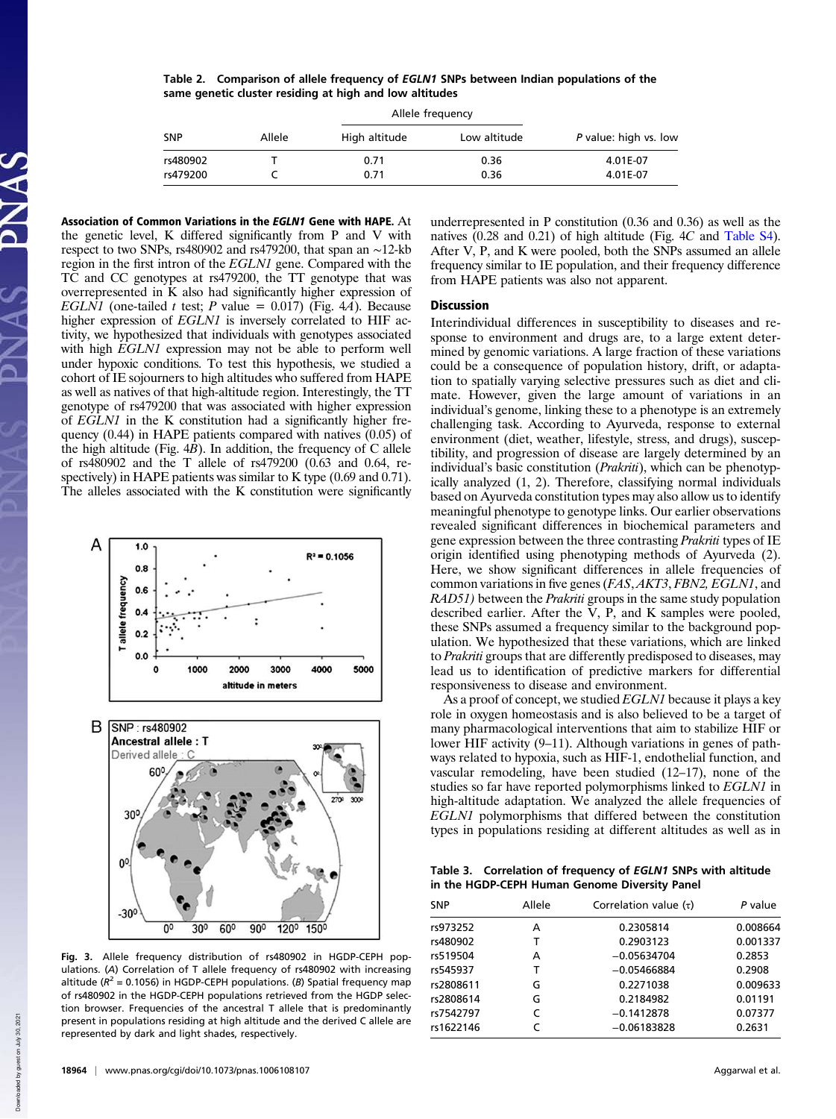Table 2. Comparison of allele frequency of EGLN1 SNPs between Indian populations of the same genetic cluster residing at high and low altitudes

|            |        | Allele frequency |              |                       |
|------------|--------|------------------|--------------|-----------------------|
| <b>SNP</b> | Allele | High altitude    | Low altitude | P value: high vs. low |
| rs480902   |        | 0.71             | 0.36         | 4.01E-07              |
| rs479200   |        | 0.71             | 0.36         | 4.01E-07              |

Association of Common Variations in the EGLN1 Gene with HAPE. At the genetic level, K differed significantly from P and V with respect to two SNPs, rs480902 and rs479200, that span an ∼12-kb region in the first intron of the EGLN1 gene. Compared with the TC and CC genotypes at rs479200, the TT genotype that was overrepresented in K also had significantly higher expression of EGLN1 (one-tailed t test; P value = 0.017) (Fig. 4A). Because higher expression of EGLN1 is inversely correlated to HIF activity, we hypothesized that individuals with genotypes associated with high EGLN1 expression may not be able to perform well under hypoxic conditions. To test this hypothesis, we studied a cohort of IE sojourners to high altitudes who suffered from HAPE as well as natives of that high-altitude region. Interestingly, the TT genotype of rs479200 that was associated with higher expression of EGLN1 in the K constitution had a significantly higher frequency (0.44) in HAPE patients compared with natives (0.05) of the high altitude (Fig.  $4B$ ). In addition, the frequency of C allele of rs480902 and the T allele of rs479200 (0.63 and 0.64, respectively) in HAPE patients was similar to K type (0.69 and 0.71). The alleles associated with the K constitution were significantly



Fig. 3. Allele frequency distribution of rs480902 in HGDP-CEPH populations. (A) Correlation of T allele frequency of rs480902 with increasing altitude ( $R^2$  = 0.1056) in HGDP-CEPH populations. (B) Spatial frequency map of rs480902 in the HGDP-CEPH populations retrieved from the HGDP selection browser. Frequencies of the ancestral T allele that is predominantly present in populations residing at high altitude and the derived C allele are represented by dark and light shades, respectively.

underrepresented in P constitution (0.36 and 0.36) as well as the natives (0.28 and 0.21) of high altitude (Fig. 4C and Table S4). After V, P, and K were pooled, both the SNPs assumed an allele frequency similar to IE population, and their frequency difference from HAPE patients was also not apparent.

## **Discussion**

Interindividual differences in susceptibility to diseases and response to environment and drugs are, to a large extent determined by genomic variations. A large fraction of these variations could be a consequence of population history, drift, or adaptation to spatially varying selective pressures such as diet and climate. However, given the large amount of variations in an individual's genome, linking these to a phenotype is an extremely challenging task. According to Ayurveda, response to external environment (diet, weather, lifestyle, stress, and drugs), susceptibility, and progression of disease are largely determined by an individual's basic constitution (*Prakriti*), which can be phenotypically analyzed (1, 2). Therefore, classifying normal individuals based on Ayurveda constitution types may also allow us to identify meaningful phenotype to genotype links. Our earlier observations revealed significant differences in biochemical parameters and gene expression between the three contrasting Prakriti types of IE origin identified using phenotyping methods of Ayurveda (2). Here, we show significant differences in allele frequencies of common variations in five genes (FAS, AKT3, FBN2, EGLN1, and RAD51) between the *Prakriti* groups in the same study population described earlier. After the V, P, and K samples were pooled, these SNPs assumed a frequency similar to the background population. We hypothesized that these variations, which are linked to Prakriti groups that are differently predisposed to diseases, may lead us to identification of predictive markers for differential responsiveness to disease and environment.

As a proof of concept, we studied EGLN1 because it plays a key role in oxygen homeostasis and is also believed to be a target of many pharmacological interventions that aim to stabilize HIF or lower HIF activity (9–11). Although variations in genes of pathways related to hypoxia, such as HIF-1, endothelial function, and vascular remodeling, have been studied (12–17), none of the studies so far have reported polymorphisms linked to EGLN1 in high-altitude adaptation. We analyzed the allele frequencies of EGLN1 polymorphisms that differed between the constitution types in populations residing at different altitudes as well as in

Table 3. Correlation of frequency of EGLN1 SNPs with altitude in the HGDP-CEPH Human Genome Diversity Panel

| SNP       | Allele | Correlation value $(\tau)$ | P value  |
|-----------|--------|----------------------------|----------|
| rs973252  | А      | 0.2305814                  | 0.008664 |
| rs480902  | т      | 0.2903123                  | 0.001337 |
| rs519504  | А      | $-0.05634704$              | 0.2853   |
| rs545937  | т      | $-0.05466884$              | 0.2908   |
| rs2808611 | G      | 0.2271038                  | 0.009633 |
| rs2808614 | G      | 0.2184982                  | 0.01191  |
| rs7542797 | C      | $-0.1412878$               | 0.07377  |
| rs1622146 |        | $-0.06183828$              | 0.2631   |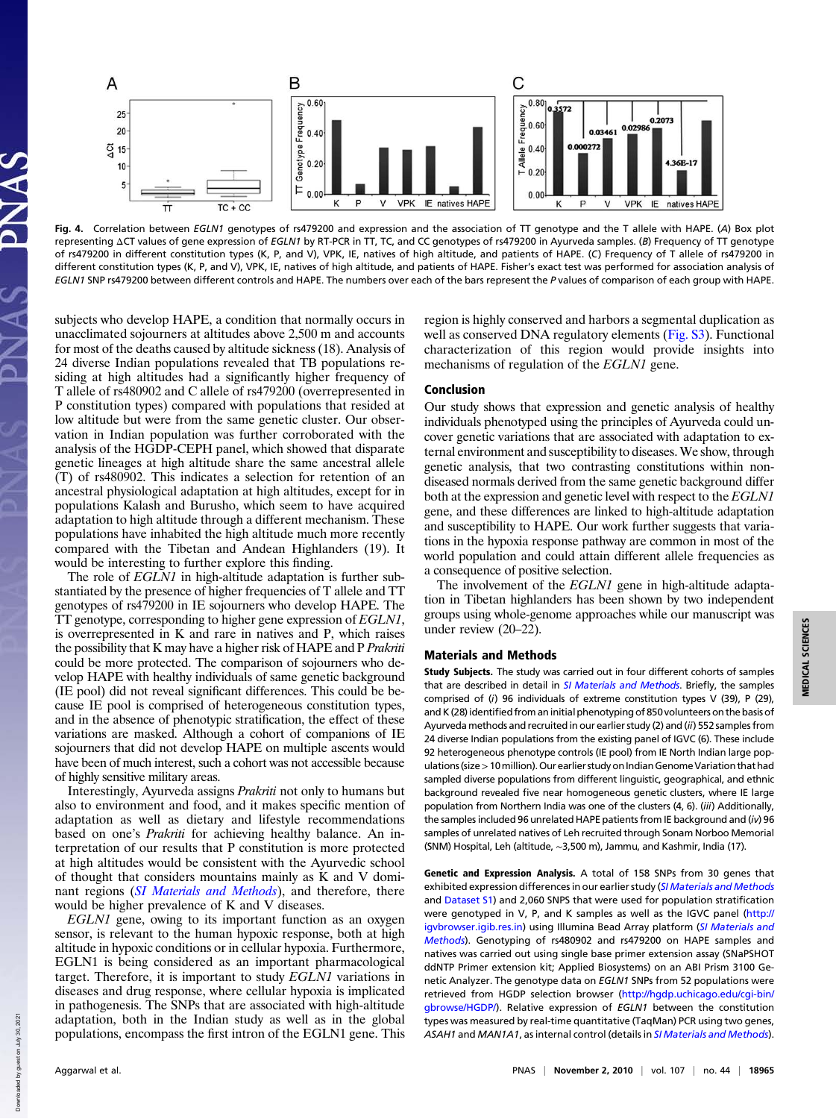

Fig. 4. Correlation between EGLN1 genotypes of rs479200 and expression and the association of TT genotype and the T allele with HAPE. (A) Box plot representing ΔCT values of gene expression of EGLN1 by RT-PCR in TT, TC, and CC genotypes of rs479200 in Ayurveda samples. (B) Frequency of TT genotype of rs479200 in different constitution types (K, P, and V), VPK, IE, natives of high altitude, and patients of HAPE. (C) Frequency of T allele of rs479200 in different constitution types (K, P, and V), VPK, IE, natives of high altitude, and patients of HAPE. Fisher's exact test was performed for association analysis of EGLN1 SNP rs479200 between different controls and HAPE. The numbers over each of the bars represent the P values of comparison of each group with HAPE.

subjects who develop HAPE, a condition that normally occurs in unacclimated sojourners at altitudes above 2,500 m and accounts for most of the deaths caused by altitude sickness (18). Analysis of 24 diverse Indian populations revealed that TB populations residing at high altitudes had a significantly higher frequency of T allele of rs480902 and C allele of rs479200 (overrepresented in P constitution types) compared with populations that resided at low altitude but were from the same genetic cluster. Our observation in Indian population was further corroborated with the analysis of the HGDP-CEPH panel, which showed that disparate genetic lineages at high altitude share the same ancestral allele (T) of rs480902. This indicates a selection for retention of an ancestral physiological adaptation at high altitudes, except for in populations Kalash and Burusho, which seem to have acquired adaptation to high altitude through a different mechanism. These populations have inhabited the high altitude much more recently compared with the Tibetan and Andean Highlanders (19). It would be interesting to further explore this finding.

The role of *EGLN1* in high-altitude adaptation is further substantiated by the presence of higher frequencies of T allele and TT genotypes of rs479200 in IE sojourners who develop HAPE. The TT genotype, corresponding to higher gene expression of EGLN1, is overrepresented in K and rare in natives and P, which raises the possibility that K may have a higher risk of HAPE and P Prakriti could be more protected. The comparison of sojourners who develop HAPE with healthy individuals of same genetic background (IE pool) did not reveal significant differences. This could be because IE pool is comprised of heterogeneous constitution types, and in the absence of phenotypic stratification, the effect of these variations are masked. Although a cohort of companions of IE sojourners that did not develop HAPE on multiple ascents would have been of much interest, such a cohort was not accessible because of highly sensitive military areas.

Interestingly, Ayurveda assigns Prakriti not only to humans but also to environment and food, and it makes specific mention of adaptation as well as dietary and lifestyle recommendations based on one's *Prakriti* for achieving healthy balance. An interpretation of our results that P constitution is more protected at high altitudes would be consistent with the Ayurvedic school of thought that considers mountains mainly as K and V dominant regions (SI Materials and Methods), and therefore, there would be higher prevalence of K and V diseases.

EGLN1 gene, owing to its important function as an oxygen sensor, is relevant to the human hypoxic response, both at high altitude in hypoxic conditions or in cellular hypoxia. Furthermore, EGLN1 is being considered as an important pharmacological target. Therefore, it is important to study EGLN1 variations in diseases and drug response, where cellular hypoxia is implicated in pathogenesis. The SNPs that are associated with high-altitude adaptation, both in the Indian study as well as in the global populations, encompass the first intron of the EGLN1 gene. This region is highly conserved and harbors a segmental duplication as well as conserved DNA regulatory elements (Fig. S3). Functional characterization of this region would provide insights into mechanisms of regulation of the EGLN1 gene.

## Conclusion

Our study shows that expression and genetic analysis of healthy individuals phenotyped using the principles of Ayurveda could uncover genetic variations that are associated with adaptation to external environment and susceptibility to diseases.We show, through genetic analysis, that two contrasting constitutions within nondiseased normals derived from the same genetic background differ both at the expression and genetic level with respect to the EGLN1 gene, and these differences are linked to high-altitude adaptation and susceptibility to HAPE. Our work further suggests that variations in the hypoxia response pathway are common in most of the world population and could attain different allele frequencies as a consequence of positive selection.

The involvement of the *EGLN1* gene in high-altitude adaptation in Tibetan highlanders has been shown by two independent groups using whole-genome approaches while our manuscript was under review (20–22).

## Materials and Methods

Study Subjects. The study was carried out in four different cohorts of samples that are described in detail in SI Materials and Methods. Briefly, the samples comprised of (i) 96 individuals of extreme constitution types V (39), P (29), and K (28) identified from an initial phenotyping of 850 volunteers on the basis of Ayurveda methods and recruited in our earlier study (2) and (ii) 552 samples from 24 diverse Indian populations from the existing panel of IGVC (6). These include 92 heterogeneous phenotype controls (IE pool) from IE North Indian large populations (size>10million). Our earlier study on Indian GenomeVariation thathad sampled diverse populations from different linguistic, geographical, and ethnic background revealed five near homogeneous genetic clusters, where IE large population from Northern India was one of the clusters (4, 6). (iii) Additionally, the samples included 96 unrelated HAPE patients from IE background and (iv) 96 samples of unrelated natives of Leh recruited through Sonam Norboo Memorial (SNM) Hospital, Leh (altitude, ∼3,500 m), Jammu, and Kashmir, India (17).

Genetic and Expression Analysis. A total of 158 SNPs from 30 genes that exhibited expression differences in our earlier study (SI Materials and Methods and Dataset S1) and 2,060 SNPS that were used for population stratification were genotyped in V, P, and K samples as well as the IGVC panel (http:// igvbrowser.igib.res.in) using Illumina Bead Array platform (SI Materials and Methods). Genotyping of rs480902 and rs479200 on HAPE samples and natives was carried out using single base primer extension assay (SNaPSHOT ddNTP Primer extension kit; Applied Biosystems) on an ABI Prism 3100 Genetic Analyzer. The genotype data on EGLN1 SNPs from 52 populations were retrieved from HGDP selection browser (http://hgdp.uchicago.edu/cgi-bin/ gbrowse/HGDP/). Relative expression of EGLN1 between the constitution types was measured by real-time quantitative (TaqMan) PCR using two genes, ASAH1 and MAN1A1, as internal control (details in SI Materials and Methods).

Down